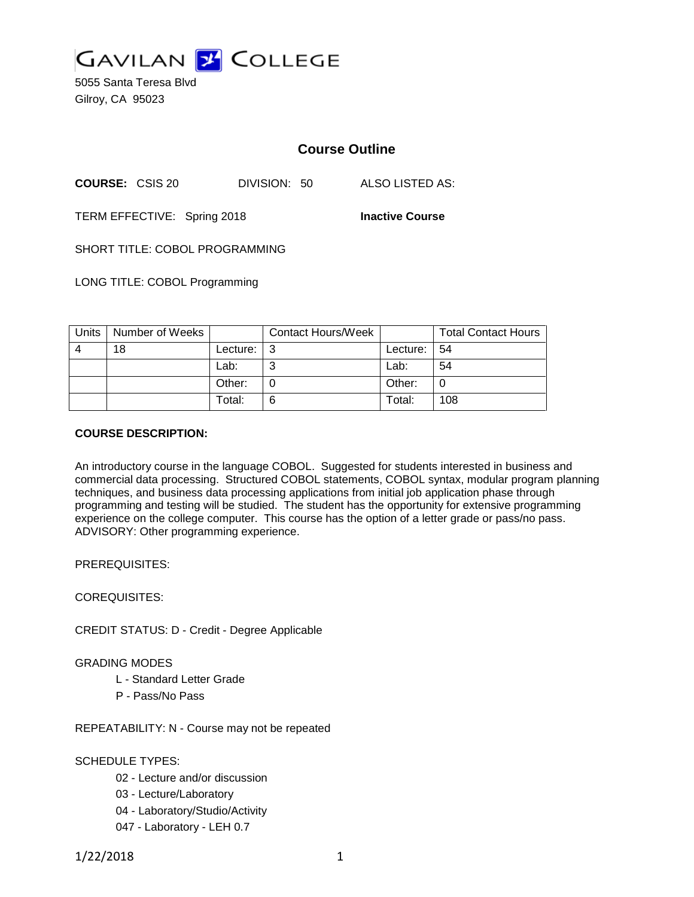

5055 Santa Teresa Blvd Gilroy, CA 95023

# **Course Outline**

**COURSE:** CSIS 20 DIVISION: 50 ALSO LISTED AS:

TERM EFFECTIVE: Spring 2018 **Inactive Course**

SHORT TITLE: COBOL PROGRAMMING

LONG TITLE: COBOL Programming

| Units | Number of Weeks |             | <b>Contact Hours/Week</b> |                 | <b>Total Contact Hours</b> |
|-------|-----------------|-------------|---------------------------|-----------------|----------------------------|
| 4     | 18              | Lecture: 13 |                           | Lecture: $  54$ |                            |
|       |                 | Lab:        | ົ                         | Lab:            | 54                         |
|       |                 | Other:      |                           | Other:          |                            |
|       |                 | Total:      | 6                         | Total:          | 108                        |

### **COURSE DESCRIPTION:**

An introductory course in the language COBOL. Suggested for students interested in business and commercial data processing. Structured COBOL statements, COBOL syntax, modular program planning techniques, and business data processing applications from initial job application phase through programming and testing will be studied. The student has the opportunity for extensive programming experience on the college computer. This course has the option of a letter grade or pass/no pass. ADVISORY: Other programming experience.

PREREQUISITES:

COREQUISITES:

CREDIT STATUS: D - Credit - Degree Applicable

GRADING MODES

- L Standard Letter Grade
- P Pass/No Pass

REPEATABILITY: N - Course may not be repeated

### SCHEDULE TYPES:

- 02 Lecture and/or discussion
- 03 Lecture/Laboratory
- 04 Laboratory/Studio/Activity
- 047 Laboratory LEH 0.7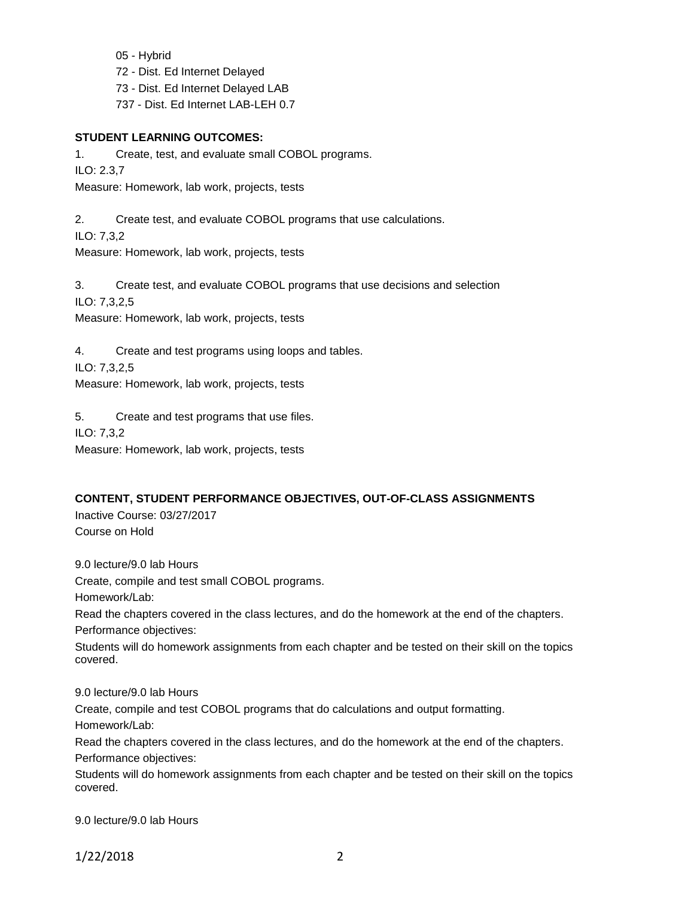05 - Hybrid 72 - Dist. Ed Internet Delayed 73 - Dist. Ed Internet Delayed LAB 737 - Dist. Ed Internet LAB-LEH 0.7

#### **STUDENT LEARNING OUTCOMES:**

1. Create, test, and evaluate small COBOL programs. ILO: 2.3,7 Measure: Homework, lab work, projects, tests

2. Create test, and evaluate COBOL programs that use calculations.

ILO: 7,3,2

Measure: Homework, lab work, projects, tests

3. Create test, and evaluate COBOL programs that use decisions and selection ILO: 7,3,2,5 Measure: Homework, lab work, projects, tests

4. Create and test programs using loops and tables. ILO: 7,3,2,5 Measure: Homework, lab work, projects, tests

5. Create and test programs that use files. ILO: 7,3,2 Measure: Homework, lab work, projects, tests

### **CONTENT, STUDENT PERFORMANCE OBJECTIVES, OUT-OF-CLASS ASSIGNMENTS**

Inactive Course: 03/27/2017 Course on Hold

9.0 lecture/9.0 lab Hours

Create, compile and test small COBOL programs.

Homework/Lab:

Read the chapters covered in the class lectures, and do the homework at the end of the chapters. Performance objectives:

Students will do homework assignments from each chapter and be tested on their skill on the topics covered.

9.0 lecture/9.0 lab Hours

Create, compile and test COBOL programs that do calculations and output formatting.

Homework/Lab:

Read the chapters covered in the class lectures, and do the homework at the end of the chapters. Performance objectives:

Students will do homework assignments from each chapter and be tested on their skill on the topics covered.

9.0 lecture/9.0 lab Hours

1/22/2018 2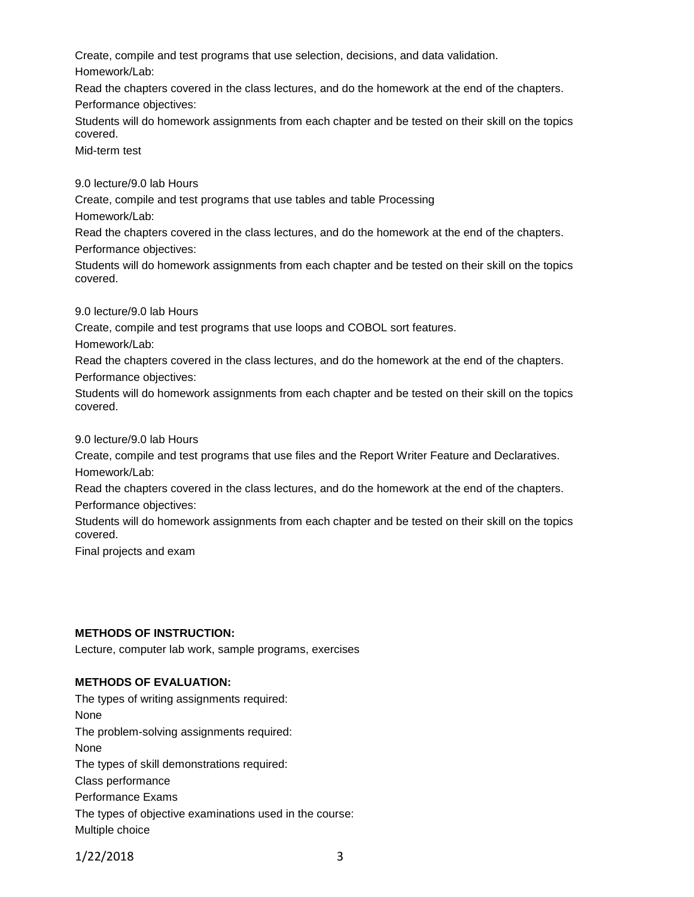Create, compile and test programs that use selection, decisions, and data validation.

Homework/Lab:

Read the chapters covered in the class lectures, and do the homework at the end of the chapters. Performance objectives:

Students will do homework assignments from each chapter and be tested on their skill on the topics covered.

Mid-term test

9.0 lecture/9.0 lab Hours

Create, compile and test programs that use tables and table Processing Homework/Lab:

Read the chapters covered in the class lectures, and do the homework at the end of the chapters. Performance objectives:

Students will do homework assignments from each chapter and be tested on their skill on the topics covered.

9.0 lecture/9.0 lab Hours

Create, compile and test programs that use loops and COBOL sort features.

Homework/Lab:

Read the chapters covered in the class lectures, and do the homework at the end of the chapters.

Performance objectives:

Students will do homework assignments from each chapter and be tested on their skill on the topics covered.

9.0 lecture/9.0 lab Hours

Create, compile and test programs that use files and the Report Writer Feature and Declaratives. Homework/Lab:

Read the chapters covered in the class lectures, and do the homework at the end of the chapters. Performance objectives:

Students will do homework assignments from each chapter and be tested on their skill on the topics covered.

Final projects and exam

## **METHODS OF INSTRUCTION:**

Lecture, computer lab work, sample programs, exercises

## **METHODS OF EVALUATION:**

The types of writing assignments required: None The problem-solving assignments required: None The types of skill demonstrations required: Class performance Performance Exams The types of objective examinations used in the course: Multiple choice

1/22/2018 3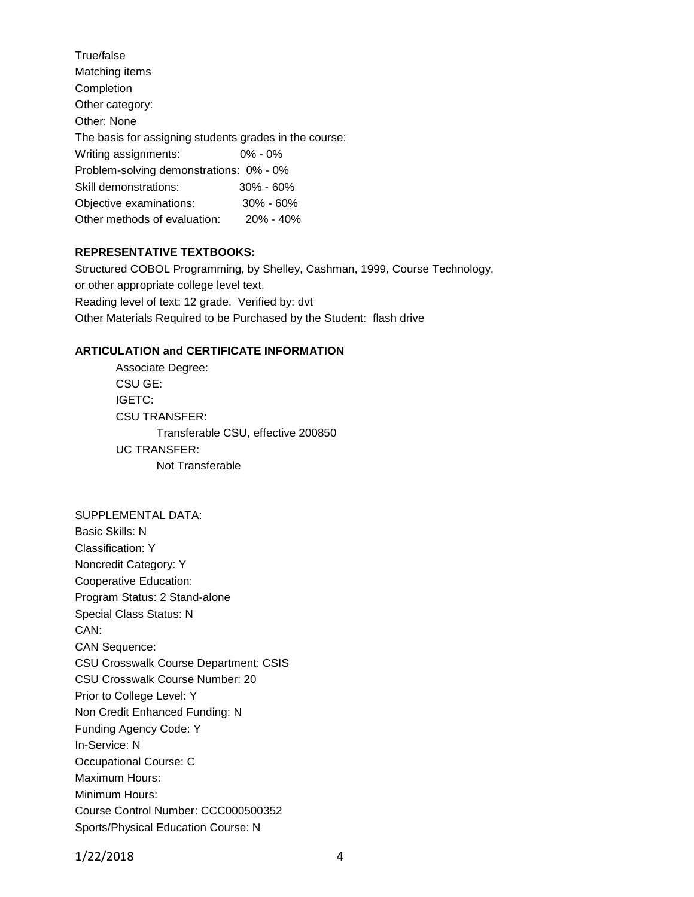| True/false                                             |               |  |  |  |  |
|--------------------------------------------------------|---------------|--|--|--|--|
| Matching items                                         |               |  |  |  |  |
| Completion                                             |               |  |  |  |  |
| Other category:                                        |               |  |  |  |  |
| Other: None                                            |               |  |  |  |  |
| The basis for assigning students grades in the course: |               |  |  |  |  |
| Writing assignments:                                   | $0\% - 0\%$   |  |  |  |  |
| Problem-solving demonstrations: 0% - 0%                |               |  |  |  |  |
| Skill demonstrations:                                  | $30\% - 60\%$ |  |  |  |  |
| Objective examinations:                                | $30\% - 60\%$ |  |  |  |  |
| Other methods of evaluation:                           | $20\% - 40\%$ |  |  |  |  |
|                                                        |               |  |  |  |  |

### **REPRESENTATIVE TEXTBOOKS:**

Structured COBOL Programming, by Shelley, Cashman, 1999, Course Technology, or other appropriate college level text. Reading level of text: 12 grade. Verified by: dvt Other Materials Required to be Purchased by the Student: flash drive

### **ARTICULATION and CERTIFICATE INFORMATION**

Associate Degree: CSU GE: IGETC: CSU TRANSFER: Transferable CSU, effective 200850 UC TRANSFER: Not Transferable

#### SUPPLEMENTAL DATA:

Basic Skills: N Classification: Y Noncredit Category: Y Cooperative Education: Program Status: 2 Stand-alone Special Class Status: N CAN: CAN Sequence: CSU Crosswalk Course Department: CSIS CSU Crosswalk Course Number: 20 Prior to College Level: Y Non Credit Enhanced Funding: N Funding Agency Code: Y In-Service: N Occupational Course: C Maximum Hours: Minimum Hours: Course Control Number: CCC000500352 Sports/Physical Education Course: N

1/22/2018 4